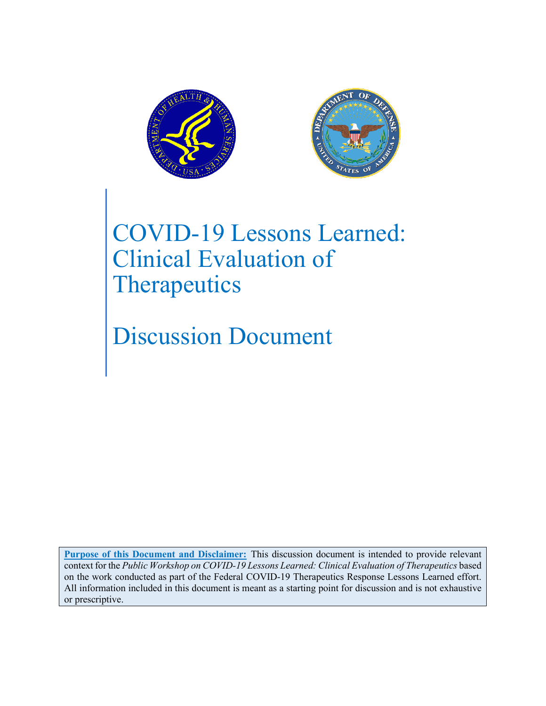



# COVID-19 Lessons Learned: Clinical Evaluation of **Therapeutics**

Discussion Document

**Purpose of this Document and Disclaimer:** This discussion document is intended to provide relevant context for the *Public Workshop on COVID-19 Lessons Learned: Clinical Evaluation of Therapeutics* based on the work conducted as part of the Federal COVID-19 Therapeutics Response Lessons Learned effort. All information included in this document is meant as a starting point for discussion and is not exhaustive or prescriptive.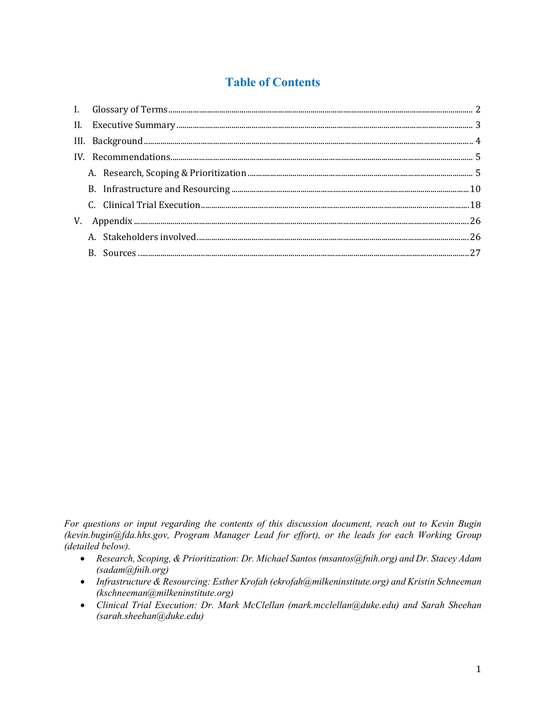# **Table of Contents**

*For questions or input regarding the contents of this discussion document, reach out to Kevin Bugin (kevin.bugin@fda.hhs.gov, Program Manager Lead for effort), or the leads for each Working Group (detailed below).*

- *Research, Scoping, & Prioritization: Dr. Michael Santos (msantos@fnih.org) and Dr. Stacey Adam (sadam@fnih.org)*
- *Infrastructure & Resourcing: Esther Krofah (ekrofah@milkeninstitute.org) and Kristin Schneeman (kschneeman@milkeninstitute.org)*
- *Clinical Trial Execution: Dr. Mark McClellan (mark.mcclellan@duke.edu) and Sarah Sheehan (sarah.sheehan@duke.edu)*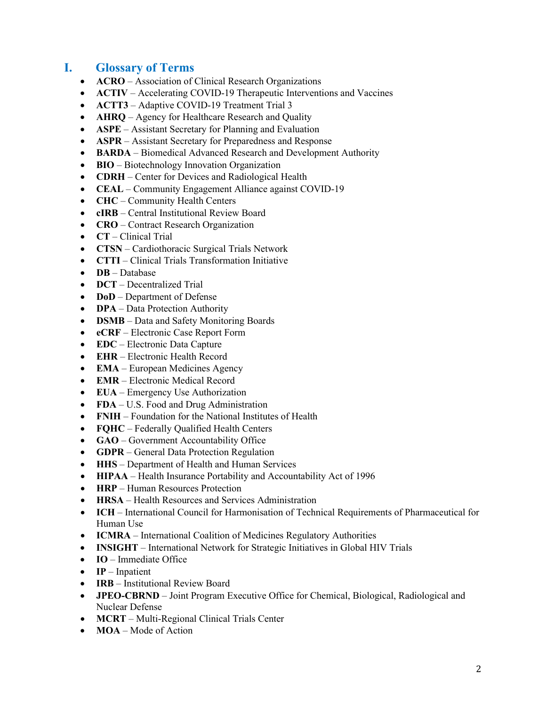# <span id="page-2-0"></span>**I. Glossary of Terms**

- **ACRO** Association of Clinical Research Organizations
- **ACTIV** Accelerating COVID-19 Therapeutic Interventions and Vaccines
- **ACTT3** Adaptive COVID-19 Treatment Trial 3
- **AHRQ** Agency for Healthcare Research and Quality
- **ASPE** Assistant Secretary for Planning and Evaluation
- **ASPR**  Assistant Secretary for Preparedness and Response
- **BARDA** Biomedical Advanced Research and Development Authority
- **BIO** Biotechnology Innovation Organization
- **CDRH** Center for Devices and Radiological Health
- **CEAL** Community Engagement Alliance against COVID-19
- **CHC** Community Health Centers
- **cIRB** Central Institutional Review Board
- **CRO** Contract Research Organization
- **CT** Clinical Trial
- **CTSN** Cardiothoracic Surgical Trials Network
- **CTTI** Clinical Trials Transformation Initiative
- **DB** Database
- **DCT** Decentralized Trial
- **DoD** Department of Defense
- **DPA** Data Protection Authority
- **DSMB** Data and Safety Monitoring Boards
- **eCRF** Electronic Case Report Form
- **EDC** Electronic Data Capture
- **EHR** Electronic Health Record
- **EMA** European Medicines Agency
- **EMR** Electronic Medical Record
- **EUA** Emergency Use Authorization
- **FDA** U.S. Food and Drug Administration
- **FNIH** Foundation for the National Institutes of Health
- **FQHC** Federally Qualified Health Centers
- **GAO** Government Accountability Office
- **GDPR** General Data Protection Regulation
- **HHS** Department of Health and Human Services
- **HIPAA** Health Insurance Portability and Accountability Act of 1996
- **HRP** Human Resources Protection
- **HRSA** Health Resources and Services Administration
- **ICH** International Council for Harmonisation of Technical Requirements of Pharmaceutical for Human Use
- **ICMRA** International Coalition of Medicines Regulatory Authorities
- **INSIGHT** International Network for Strategic Initiatives in Global HIV Trials
- **IO** Immediate Office
- **IP** Inpatient
- **IRB** Institutional Review Board
- **JPEO-CBRND** Joint Program Executive Office for Chemical, Biological, Radiological and Nuclear Defense
- **MCRT** Multi-Regional Clinical Trials Center
- **MOA** Mode of Action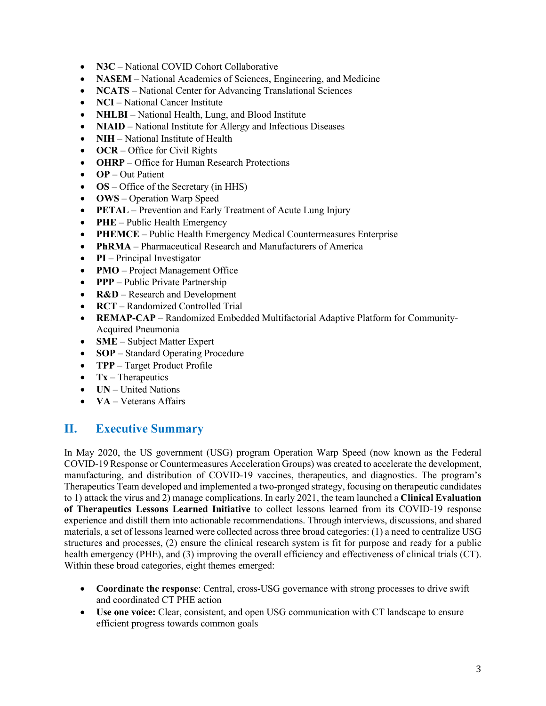- **N3C** National COVID Cohort Collaborative
- **NASEM** National Academics of Sciences, Engineering, and Medicine
- **NCATS** National Center for Advancing Translational Sciences
- **NCI** National Cancer Institute
- **NHLBI** National Health, Lung, and Blood Institute
- **NIAID** National Institute for Allergy and Infectious Diseases
- **NIH** National Institute of Health
- **OCR** Office for Civil Rights
- **OHRP** Office for Human Research Protections
- **OP** Out Patient
- **OS** Office of the Secretary (in HHS)
- **OWS** Operation Warp Speed
- **PETAL** Prevention and Early Treatment of Acute Lung Injury
- **PHE** Public Health Emergency
- **PHEMCE** Public Health Emergency Medical Countermeasures Enterprise
- **PhRMA** Pharmaceutical Research and Manufacturers of America
- **PI** Principal Investigator
- **PMO** Project Management Office
- **PPP** Public Private Partnership
- **R&D** Research and Development
- **RCT** Randomized Controlled Trial
- **REMAP-CAP** Randomized Embedded Multifactorial Adaptive Platform for Community-Acquired Pneumonia
- **SME** Subject Matter Expert
- **SOP** Standard Operating Procedure
- **TPP** Target Product Profile
- **Tx** Therapeutics
- **UN** United Nations
- **VA** Veterans Affairs

## <span id="page-3-0"></span>**II. Executive Summary**

In May 2020, the US government (USG) program Operation Warp Speed (now known as the Federal COVID-19 Response or Countermeasures Acceleration Groups) was created to accelerate the development, manufacturing, and distribution of COVID-19 vaccines, therapeutics, and diagnostics. The program's Therapeutics Team developed and implemented a two-pronged strategy, focusing on therapeutic candidates to 1) attack the virus and 2) manage complications. In early 2021, the team launched a **Clinical Evaluation of Therapeutics Lessons Learned Initiative** to collect lessons learned from its COVID-19 response experience and distill them into actionable recommendations. Through interviews, discussions, and shared materials, a set of lessons learned were collected across three broad categories: (1) a need to centralize USG structures and processes, (2) ensure the clinical research system is fit for purpose and ready for a public health emergency (PHE), and (3) improving the overall efficiency and effectiveness of clinical trials (CT). Within these broad categories, eight themes emerged:

- **Coordinate the response**: Central, cross-USG governance with strong processes to drive swift and coordinated CT PHE action
- **Use one voice:** Clear, consistent, and open USG communication with CT landscape to ensure efficient progress towards common goals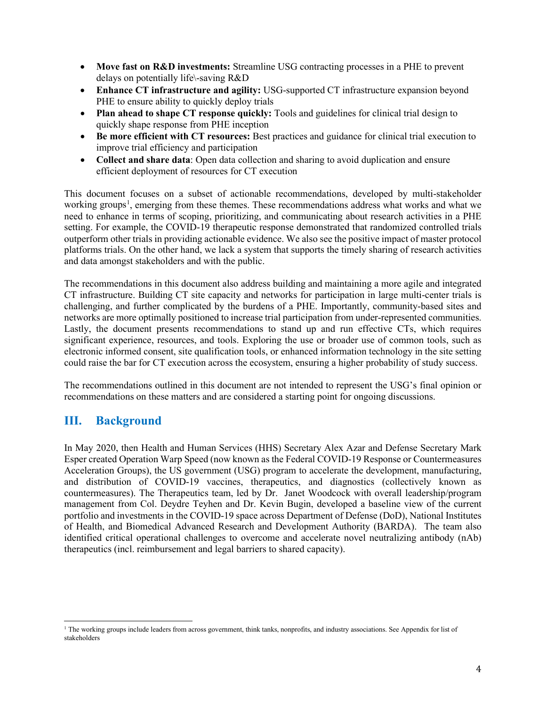- **Move fast on R&D investments:** Streamline USG contracting processes in a PHE to prevent delays on potentially life\-saving R&D
- **Enhance CT infrastructure and agility:** USG-supported CT infrastructure expansion beyond PHE to ensure ability to quickly deploy trials
- **Plan ahead to shape CT response quickly:** Tools and guidelines for clinical trial design to quickly shape response from PHE inception
- **Be more efficient with CT resources:** Best practices and guidance for clinical trial execution to improve trial efficiency and participation
- **Collect and share data**: Open data collection and sharing to avoid duplication and ensure efficient deployment of resources for CT execution

This document focuses on a subset of actionable recommendations, developed by multi-stakeholder working groups<sup>[1](#page-4-1)</sup>, emerging from these themes. These recommendations address what works and what we need to enhance in terms of scoping, prioritizing, and communicating about research activities in a PHE setting. For example, the COVID-19 therapeutic response demonstrated that randomized controlled trials outperform other trials in providing actionable evidence. We also see the positive impact of master protocol platforms trials. On the other hand, we lack a system that supports the timely sharing of research activities and data amongst stakeholders and with the public.

The recommendations in this document also address building and maintaining a more agile and integrated CT infrastructure. Building CT site capacity and networks for participation in large multi-center trials is challenging, and further complicated by the burdens of a PHE. Importantly, community-based sites and networks are more optimally positioned to increase trial participation from under-represented communities. Lastly, the document presents recommendations to stand up and run effective CTs, which requires significant experience, resources, and tools. Exploring the use or broader use of common tools, such as electronic informed consent, site qualification tools, or enhanced information technology in the site setting could raise the bar for CT execution across the ecosystem, ensuring a higher probability of study success.

The recommendations outlined in this document are not intended to represent the USG's final opinion or recommendations on these matters and are considered a starting point for ongoing discussions.

# <span id="page-4-0"></span>**III. Background**

In May 2020, then Health and Human Services (HHS) Secretary Alex Azar and Defense Secretary Mark Esper created Operation Warp Speed (now known as the Federal COVID-19 Response or Countermeasures Acceleration Groups), the US government (USG) program to accelerate the development, manufacturing, and distribution of COVID-19 vaccines, therapeutics, and diagnostics (collectively known as countermeasures). The Therapeutics team, led by Dr. Janet Woodcock with overall leadership/program management from Col. Deydre Teyhen and Dr. Kevin Bugin, developed a baseline view of the current portfolio and investments in the COVID-19 space across Department of Defense (DoD), National Institutes of Health, and Biomedical Advanced Research and Development Authority (BARDA). The team also identified critical operational challenges to overcome and accelerate novel neutralizing antibody (nAb) therapeutics (incl. reimbursement and legal barriers to shared capacity).

<span id="page-4-1"></span> $<sup>1</sup>$  The working groups include leaders from across government, think tanks, nonprofits, and industry associations. See Appendix for list of</sup> stakeholders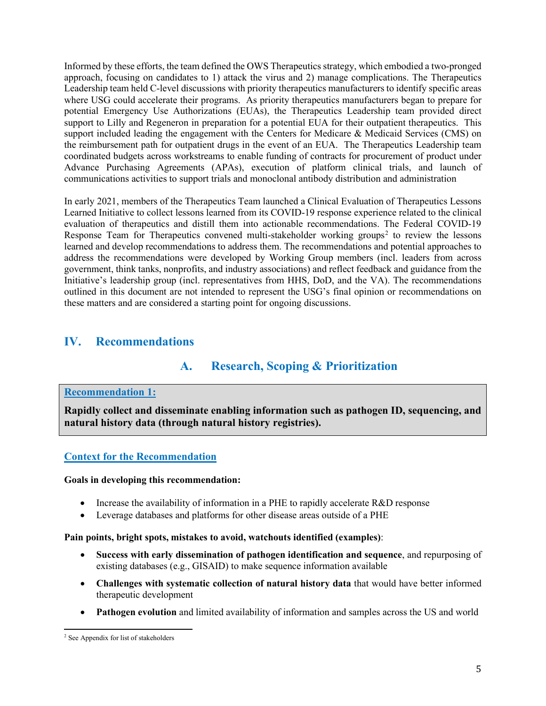Informed by these efforts, the team defined the OWS Therapeutics strategy, which embodied a two-pronged approach, focusing on candidates to 1) attack the virus and 2) manage complications. The Therapeutics Leadership team held C-level discussions with priority therapeutics manufacturers to identify specific areas where USG could accelerate their programs. As priority therapeutics manufacturers began to prepare for potential Emergency Use Authorizations (EUAs), the Therapeutics Leadership team provided direct support to Lilly and Regeneron in preparation for a potential EUA for their outpatient therapeutics. This support included leading the engagement with the Centers for Medicare & Medicaid Services (CMS) on the reimbursement path for outpatient drugs in the event of an EUA. The Therapeutics Leadership team coordinated budgets across workstreams to enable funding of contracts for procurement of product under Advance Purchasing Agreements (APAs), execution of platform clinical trials, and launch of communications activities to support trials and monoclonal antibody distribution and administration

In early 2021, members of the Therapeutics Team launched a Clinical Evaluation of Therapeutics Lessons Learned Initiative to collect lessons learned from its COVID-19 response experience related to the clinical evaluation of therapeutics and distill them into actionable recommendations. The Federal COVID-19 Response Team for Therapeutics convened multi-stakeholder working groups<sup>[2](#page-5-2)</sup> to review the lessons learned and develop recommendations to address them. The recommendations and potential approaches to address the recommendations were developed by Working Group members (incl. leaders from across government, think tanks, nonprofits, and industry associations) and reflect feedback and guidance from the Initiative's leadership group (incl. representatives from HHS, DoD, and the VA). The recommendations outlined in this document are not intended to represent the USG's final opinion or recommendations on these matters and are considered a starting point for ongoing discussions.

# <span id="page-5-1"></span><span id="page-5-0"></span>**IV. Recommendations**

# **A. Research, Scoping & Prioritization**

#### **Recommendation 1:**

**Rapidly collect and disseminate enabling information such as pathogen ID, sequencing, and natural history data (through natural history registries).**

## **Context for the Recommendation**

#### **Goals in developing this recommendation:**

- Increase the availability of information in a PHE to rapidly accelerate R&D response
- Leverage databases and platforms for other disease areas outside of a PHE

#### **Pain points, bright spots, mistakes to avoid, watchouts identified (examples)**:

- **Success with early dissemination of pathogen identification and sequence**, and repurposing of existing databases (e.g., GISAID) to make sequence information available
- **Challenges with systematic collection of natural history data** that would have better informed therapeutic development
- **Pathogen evolution** and limited availability of information and samples across the US and world

<span id="page-5-2"></span><sup>2</sup> See Appendix for list of stakeholders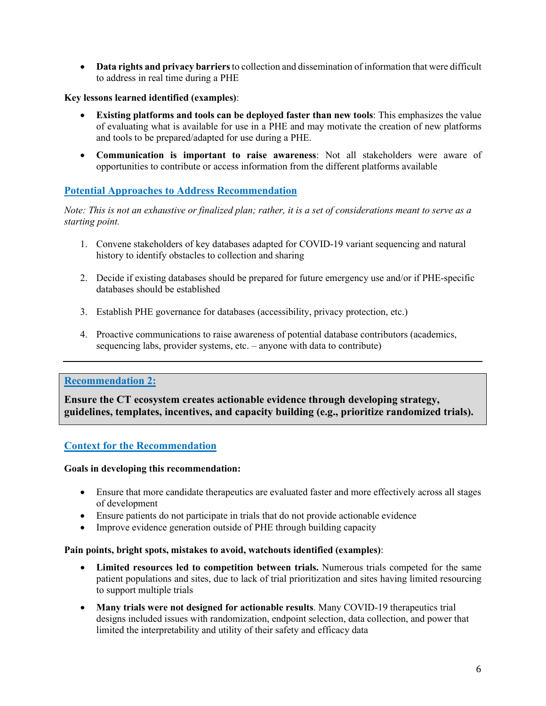• **Data rights and privacy barriers** to collection and dissemination of information that were difficult to address in real time during a PHE

## **Key lessons learned identified (examples)**:

- **Existing platforms and tools can be deployed faster than new tools**: This emphasizes the value of evaluating what is available for use in a PHE and may motivate the creation of new platforms and tools to be prepared/adapted for use during a PHE.
- **Communication is important to raise awareness**: Not all stakeholders were aware of opportunities to contribute or access information from the different platforms available

## **Potential Approaches to Address Recommendation**

*Note: This is not an exhaustive or finalized plan; rather, it is a set of considerations meant to serve as a starting point.*

- 1. Convene stakeholders of key databases adapted for COVID-19 variant sequencing and natural history to identify obstacles to collection and sharing
- 2. Decide if existing databases should be prepared for future emergency use and/or if PHE-specific databases should be established
- 3. Establish PHE governance for databases (accessibility, privacy protection, etc.)
- 4. Proactive communications to raise awareness of potential database contributors (academics, sequencing labs, provider systems, etc. – anyone with data to contribute)

## **Recommendation 2:**

**Ensure the CT ecosystem creates actionable evidence through developing strategy, guidelines, templates, incentives, and capacity building (e.g., prioritize randomized trials).**

## **Context for the Recommendation**

#### **Goals in developing this recommendation:**

- Ensure that more candidate therapeutics are evaluated faster and more effectively across all stages of development
- Ensure patients do not participate in trials that do not provide actionable evidence
- Improve evidence generation outside of PHE through building capacity

#### **Pain points, bright spots, mistakes to avoid, watchouts identified (examples)**:

- **Limited resources led to competition between trials.** Numerous trials competed for the same patient populations and sites, due to lack of trial prioritization and sites having limited resourcing to support multiple trials
- **Many trials were not designed for actionable results**. Many COVID-19 therapeutics trial designs included issues with randomization, endpoint selection, data collection, and power that limited the interpretability and utility of their safety and efficacy data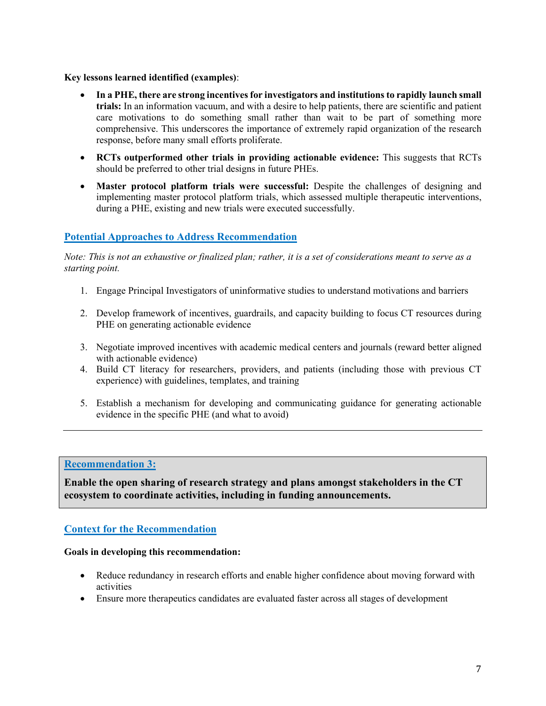#### **Key lessons learned identified (examples)**:

- **In a PHE, there are strong incentives for investigators and institutions to rapidly launch small trials:** In an information vacuum, and with a desire to help patients, there are scientific and patient care motivations to do something small rather than wait to be part of something more comprehensive. This underscores the importance of extremely rapid organization of the research response, before many small efforts proliferate.
- **RCTs outperformed other trials in providing actionable evidence:** This suggests that RCTs should be preferred to other trial designs in future PHEs.
- **Master protocol platform trials were successful:** Despite the challenges of designing and implementing master protocol platform trials, which assessed multiple therapeutic interventions, during a PHE, existing and new trials were executed successfully.

## **Potential Approaches to Address Recommendation**

*Note: This is not an exhaustive or finalized plan; rather, it is a set of considerations meant to serve as a starting point.*

- 1. Engage Principal Investigators of uninformative studies to understand motivations and barriers
- 2. Develop framework of incentives, guardrails, and capacity building to focus CT resources during PHE on generating actionable evidence
- 3. Negotiate improved incentives with academic medical centers and journals (reward better aligned with actionable evidence)
- 4. Build CT literacy for researchers, providers, and patients (including those with previous CT experience) with guidelines, templates, and training
- 5. Establish a mechanism for developing and communicating guidance for generating actionable evidence in the specific PHE (and what to avoid)

## **Recommendation 3:**

**Enable the open sharing of research strategy and plans amongst stakeholders in the CT ecosystem to coordinate activities, including in funding announcements.**

## **Context for the Recommendation**

#### **Goals in developing this recommendation:**

- Reduce redundancy in research efforts and enable higher confidence about moving forward with activities
- Ensure more therapeutics candidates are evaluated faster across all stages of development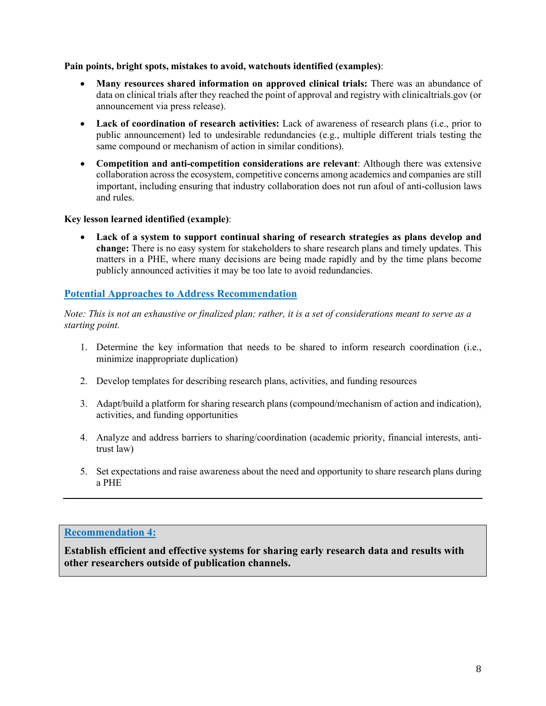#### **Pain points, bright spots, mistakes to avoid, watchouts identified (examples)**:

- **Many resources shared information on approved clinical trials:** There was an abundance of data on clinical trials after they reached the point of approval and registry with clinicaltrials.gov (or announcement via press release).
- **Lack of coordination of research activities:** Lack of awareness of research plans (i.e., prior to public announcement) led to undesirable redundancies (e.g., multiple different trials testing the same compound or mechanism of action in similar conditions).
- **Competition and anti-competition considerations are relevant**: Although there was extensive collaboration across the ecosystem, competitive concerns among academics and companies are still important, including ensuring that industry collaboration does not run afoul of anti-collusion laws and rules.

## **Key lesson learned identified (example)**:

Lack of a system to support continual sharing of research strategies as plans develop and **change:** There is no easy system for stakeholders to share research plans and timely updates. This matters in a PHE, where many decisions are being made rapidly and by the time plans become publicly announced activities it may be too late to avoid redundancies.

## **Potential Approaches to Address Recommendation**

*Note: This is not an exhaustive or finalized plan; rather, it is a set of considerations meant to serve as a starting point.*

- 1. Determine the key information that needs to be shared to inform research coordination (i.e., minimize inappropriate duplication)
- 2. Develop templates for describing research plans, activities, and funding resources
- 3. Adapt/build a platform for sharing research plans (compound/mechanism of action and indication), activities, and funding opportunities
- 4. Analyze and address barriers to sharing/coordination (academic priority, financial interests, antitrust law)
- 5. Set expectations and raise awareness about the need and opportunity to share research plans during a PHE

## **Recommendation 4:**

**Establish efficient and effective systems for sharing early research data and results with other researchers outside of publication channels.**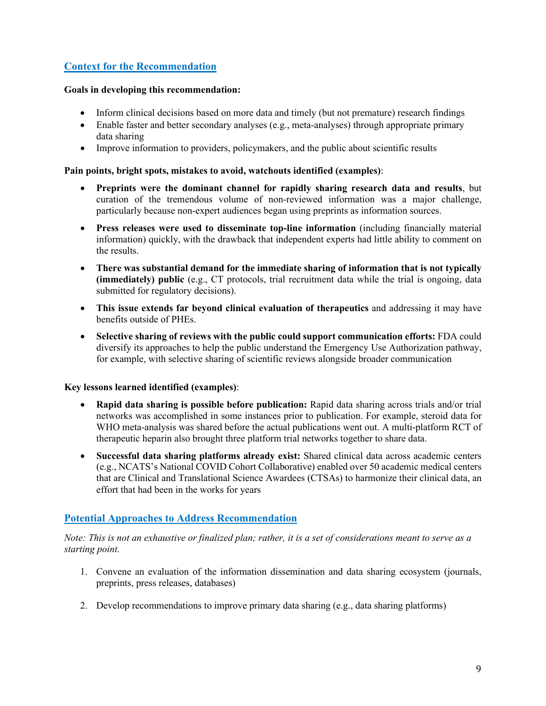## **Context for the Recommendation**

#### **Goals in developing this recommendation:**

- Inform clinical decisions based on more data and timely (but not premature) research findings
- Enable faster and better secondary analyses (e.g., meta-analyses) through appropriate primary data sharing
- Improve information to providers, policymakers, and the public about scientific results

#### **Pain points, bright spots, mistakes to avoid, watchouts identified (examples)**:

- **Preprints were the dominant channel for rapidly sharing research data and results**, but curation of the tremendous volume of non-reviewed information was a major challenge, particularly because non-expert audiences began using preprints as information sources.
- **Press releases were used to disseminate top-line information** (including financially material information) quickly, with the drawback that independent experts had little ability to comment on the results.
- **There was substantial demand for the immediate sharing of information that is not typically (immediately) public** (e.g., CT protocols, trial recruitment data while the trial is ongoing, data submitted for regulatory decisions).
- **This issue extends far beyond clinical evaluation of therapeutics** and addressing it may have benefits outside of PHEs.
- **Selective sharing of reviews with the public could support communication efforts:** FDA could diversify its approaches to help the public understand the Emergency Use Authorization pathway, for example, with selective sharing of scientific reviews alongside broader communication

## **Key lessons learned identified (examples)**:

- **Rapid data sharing is possible before publication:** Rapid data sharing across trials and/or trial networks was accomplished in some instances prior to publication. For example, steroid data for WHO meta-analysis was shared before the actual publications went out. A multi-platform RCT of therapeutic heparin also brought three platform trial networks together to share data.
- **Successful data sharing platforms already exist:** Shared clinical data across academic centers (e.g., NCATS's National COVID Cohort Collaborative) enabled over 50 academic medical centers that are Clinical and Translational Science Awardees (CTSAs) to harmonize their clinical data, an effort that had been in the works for years

## **Potential Approaches to Address Recommendation**

- 1. Convene an evaluation of the information dissemination and data sharing ecosystem (journals, preprints, press releases, databases)
- 2. Develop recommendations to improve primary data sharing (e.g., data sharing platforms)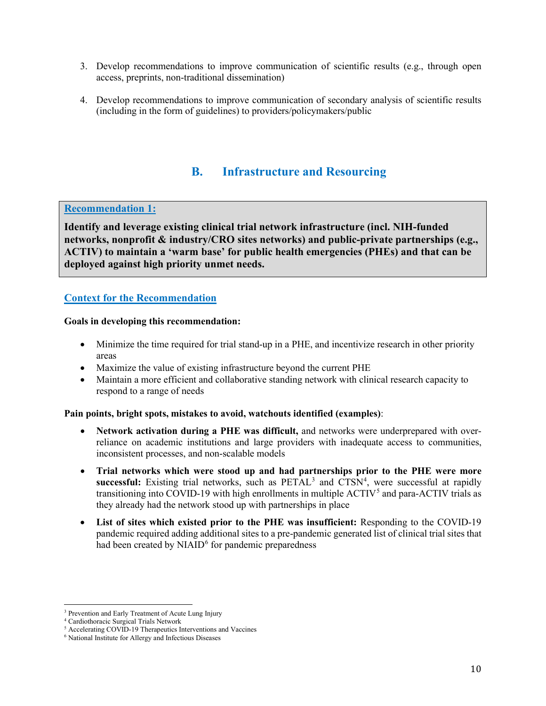- 3. Develop recommendations to improve communication of scientific results (e.g., through open access, preprints, non-traditional dissemination)
- 4. Develop recommendations to improve communication of secondary analysis of scientific results (including in the form of guidelines) to providers/policymakers/public

# **B. Infrastructure and Resourcing**

## <span id="page-10-0"></span>**Recommendation 1:**

**Identify and leverage existing clinical trial network infrastructure (incl. NIH-funded networks, nonprofit & industry/CRO sites networks) and public-private partnerships (e.g., ACTIV) to maintain a 'warm base' for public health emergencies (PHEs) and that can be deployed against high priority unmet needs.**

## **Context for the Recommendation**

#### **Goals in developing this recommendation:**

- Minimize the time required for trial stand-up in a PHE, and incentivize research in other priority areas
- Maximize the value of existing infrastructure beyond the current PHE
- Maintain a more efficient and collaborative standing network with clinical research capacity to respond to a range of needs

#### **Pain points, bright spots, mistakes to avoid, watchouts identified (examples)**:

- **Network activation during a PHE was difficult,** and networks were underprepared with overreliance on academic institutions and large providers with inadequate access to communities, inconsistent processes, and non-scalable models
- **Trial networks which were stood up and had partnerships prior to the PHE were more**  successful: Existing trial networks, such as PETAL<sup>[3](#page-10-1)</sup> and CTSN<sup>[4](#page-10-2)</sup>, were successful at rapidly transitioning into COVID-19 with high enrollments in multiple  $ACTIV<sup>5</sup>$  $ACTIV<sup>5</sup>$  $ACTIV<sup>5</sup>$  and para-ACTIV trials as they already had the network stood up with partnerships in place
- **List of sites which existed prior to the PHE was insufficient:** Responding to the COVID-19 pandemic required adding additional sites to a pre-pandemic generated list of clinical trial sites that had been created by  $NIAID<sup>6</sup>$  $NIAID<sup>6</sup>$  $NIAID<sup>6</sup>$  for pandemic preparedness

<span id="page-10-1"></span><sup>&</sup>lt;sup>3</sup> Prevention and Early Treatment of Acute Lung Injury

<span id="page-10-2"></span><sup>4</sup> Cardiothoracic Surgical Trials Network

<span id="page-10-3"></span><sup>&</sup>lt;sup>5</sup> Accelerating COVID-19 Therapeutics Interventions and Vaccines

<span id="page-10-4"></span><sup>6</sup> National Institute for Allergy and Infectious Diseases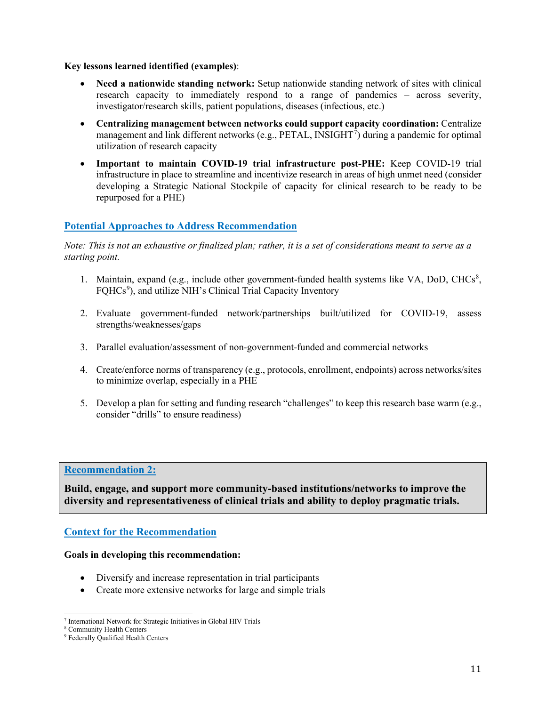#### **Key lessons learned identified (examples)**:

- **Need a nationwide standing network:** Setup nationwide standing network of sites with clinical research capacity to immediately respond to a range of pandemics – across severity, investigator/research skills, patient populations, diseases (infectious, etc.)
- **Centralizing management between networks could support capacity coordination:** Centralize management and link different networks (e.g., PETAL, INSIGHT<sup>[7](#page-11-0)</sup>) during a pandemic for optimal utilization of research capacity
- **Important to maintain COVID-19 trial infrastructure post-PHE:** Keep COVID-19 trial infrastructure in place to streamline and incentivize research in areas of high unmet need (consider developing a Strategic National Stockpile of capacity for clinical research to be ready to be repurposed for a PHE)

## **Potential Approaches to Address Recommendation**

*Note: This is not an exhaustive or finalized plan; rather, it is a set of considerations meant to serve as a starting point.*

- 1. Maintain, expand (e.g., include other government-funded health systems like VA, DoD, CHCs<sup>[8](#page-11-1)</sup>, FQHCs<sup>[9](#page-11-2)</sup>), and utilize NIH's Clinical Trial Capacity Inventory
- 2. Evaluate government-funded network/partnerships built/utilized for COVID-19, assess strengths/weaknesses/gaps
- 3. Parallel evaluation/assessment of non-government-funded and commercial networks
- 4. Create/enforce norms of transparency (e.g., protocols, enrollment, endpoints) across networks/sites to minimize overlap, especially in a PHE
- 5. Develop a plan for setting and funding research "challenges" to keep this research base warm (e.g., consider "drills" to ensure readiness)

## **Recommendation 2:**

**Build, engage, and support more community-based institutions/networks to improve the diversity and representativeness of clinical trials and ability to deploy pragmatic trials.**

## **Context for the Recommendation**

#### **Goals in developing this recommendation:**

- Diversify and increase representation in trial participants
- Create more extensive networks for large and simple trials

<span id="page-11-0"></span><sup>7</sup> International Network for Strategic Initiatives in Global HIV Trials

<span id="page-11-1"></span><sup>8</sup> Community Health Centers

<span id="page-11-2"></span><sup>&</sup>lt;sup>9</sup> Federally Qualified Health Centers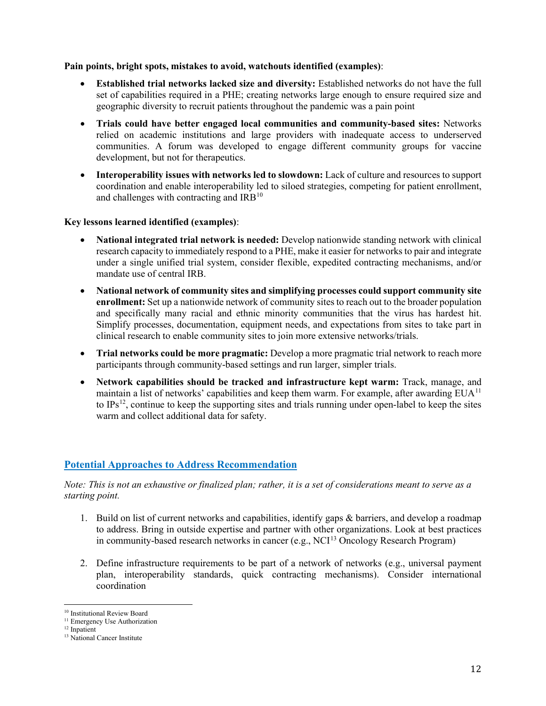#### **Pain points, bright spots, mistakes to avoid, watchouts identified (examples)**:

- **Established trial networks lacked size and diversity:** Established networks do not have the full set of capabilities required in a PHE; creating networks large enough to ensure required size and geographic diversity to recruit patients throughout the pandemic was a pain point
- **Trials could have better engaged local communities and community-based sites:** Networks relied on academic institutions and large providers with inadequate access to underserved communities. A forum was developed to engage different community groups for vaccine development, but not for therapeutics.
- **Interoperability issues with networks led to slowdown:** Lack of culture and resources to support coordination and enable interoperability led to siloed strategies, competing for patient enrollment, and challenges with contracting and  $IRB<sup>10</sup>$  $IRB<sup>10</sup>$  $IRB<sup>10</sup>$

## **Key lessons learned identified (examples)**:

- **National integrated trial network is needed:** Develop nationwide standing network with clinical research capacity to immediately respond to a PHE, make it easier for networks to pair and integrate under a single unified trial system, consider flexible, expedited contracting mechanisms, and/or mandate use of central IRB.
- **National network of community sites and simplifying processes could support community site enrollment:** Set up a nationwide network of community sites to reach out to the broader population and specifically many racial and ethnic minority communities that the virus has hardest hit. Simplify processes, documentation, equipment needs, and expectations from sites to take part in clinical research to enable community sites to join more extensive networks/trials.
- **Trial networks could be more pragmatic:** Develop a more pragmatic trial network to reach more participants through community-based settings and run larger, simpler trials.
- **Network capabilities should be tracked and infrastructure kept warm:** Track, manage, and maintain a list of networks' capabilities and keep them warm. For example, after awarding  $EUA<sup>11</sup>$  $EUA<sup>11</sup>$  $EUA<sup>11</sup>$ to IPs[12](#page-12-2), continue to keep the supporting sites and trials running under open-label to keep the sites warm and collect additional data for safety.

## **Potential Approaches to Address Recommendation**

- 1. Build on list of current networks and capabilities, identify gaps & barriers, and develop a roadmap to address. Bring in outside expertise and partner with other organizations. Look at best practices in community-based research networks in cancer (e.g., NCI<sup>[13](#page-12-3)</sup> Oncology Research Program)
- 2. Define infrastructure requirements to be part of a network of networks (e.g., universal payment plan, interoperability standards, quick contracting mechanisms). Consider international coordination

<span id="page-12-0"></span><sup>10</sup> Institutional Review Board

<sup>&</sup>lt;sup>11</sup> Emergency Use Authorization

<span id="page-12-2"></span><span id="page-12-1"></span><sup>&</sup>lt;sup>12</sup> Inpatient

<span id="page-12-3"></span><sup>&</sup>lt;sup>13</sup> National Cancer Institute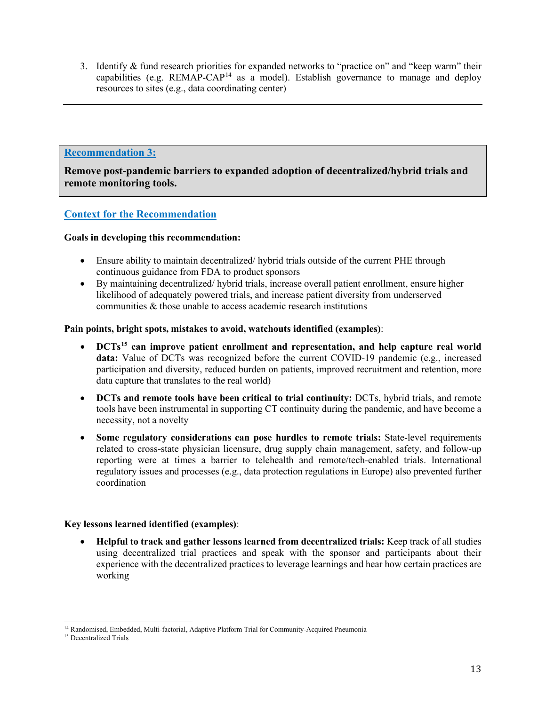3. Identify & fund research priorities for expanded networks to "practice on" and "keep warm" their capabilities (e.g.  $REMAP-CAP<sup>14</sup>$  $REMAP-CAP<sup>14</sup>$  $REMAP-CAP<sup>14</sup>$  as a model). Establish governance to manage and deploy resources to sites (e.g., data coordinating center)

## **Recommendation 3:**

**Remove post-pandemic barriers to expanded adoption of decentralized/hybrid trials and remote monitoring tools.**

## **Context for the Recommendation**

## **Goals in developing this recommendation:**

- Ensure ability to maintain decentralized/ hybrid trials outside of the current PHE through continuous guidance from FDA to product sponsors
- By maintaining decentralized/ hybrid trials, increase overall patient enrollment, ensure higher likelihood of adequately powered trials, and increase patient diversity from underserved communities & those unable to access academic research institutions

## **Pain points, bright spots, mistakes to avoid, watchouts identified (examples)**:

- **DCTs[15](#page-13-1) can improve patient enrollment and representation, and help capture real world data:** Value of DCTs was recognized before the current COVID-19 pandemic (e.g., increased participation and diversity, reduced burden on patients, improved recruitment and retention, more data capture that translates to the real world)
- **DCTs and remote tools have been critical to trial continuity:** DCTs, hybrid trials, and remote tools have been instrumental in supporting CT continuity during the pandemic, and have become a necessity, not a novelty
- **Some regulatory considerations can pose hurdles to remote trials:** State-level requirements related to cross-state physician licensure, drug supply chain management, safety, and follow-up reporting were at times a barrier to telehealth and remote/tech-enabled trials. International regulatory issues and processes (e.g., data protection regulations in Europe) also prevented further coordination

## **Key lessons learned identified (examples)**:

• **Helpful to track and gather lessons learned from decentralized trials:** Keep track of all studies using decentralized trial practices and speak with the sponsor and participants about their experience with the decentralized practices to leverage learnings and hear how certain practices are working

<sup>14</sup> Randomised, Embedded, Multi-factorial, Adaptive Platform Trial for Community-Acquired Pneumonia

<span id="page-13-1"></span><span id="page-13-0"></span><sup>&</sup>lt;sup>15</sup> Decentralized Trials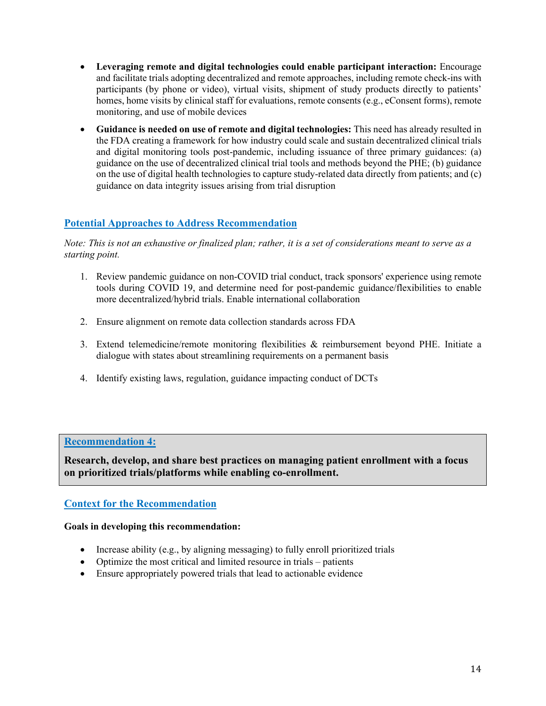- **Leveraging remote and digital technologies could enable participant interaction:** Encourage and facilitate trials adopting decentralized and remote approaches, including remote check-ins with participants (by phone or video), virtual visits, shipment of study products directly to patients' homes, home visits by clinical staff for evaluations, remote consents (e.g., eConsent forms), remote monitoring, and use of mobile devices
- **Guidance is needed on use of remote and digital technologies:** This need has already resulted in the FDA creating a framework for how industry could scale and sustain decentralized clinical trials and digital monitoring tools post-pandemic, including issuance of three primary guidances: (a) guidance on the use of decentralized clinical trial tools and methods beyond the PHE; (b) guidance on the use of digital health technologies to capture study-related data directly from patients; and (c) guidance on data integrity issues arising from trial disruption

## **Potential Approaches to Address Recommendation**

*Note: This is not an exhaustive or finalized plan; rather, it is a set of considerations meant to serve as a starting point.*

- 1. Review pandemic guidance on non-COVID trial conduct, track sponsors' experience using remote tools during COVID 19, and determine need for post-pandemic guidance/flexibilities to enable more decentralized/hybrid trials. Enable international collaboration
- 2. Ensure alignment on remote data collection standards across FDA
- 3. Extend telemedicine/remote monitoring flexibilities & reimbursement beyond PHE. Initiate a dialogue with states about streamlining requirements on a permanent basis
- 4. Identify existing laws, regulation, guidance impacting conduct of DCTs

## **Recommendation 4:**

**Research, develop, and share best practices on managing patient enrollment with a focus on prioritized trials/platforms while enabling co-enrollment.**

## **Context for the Recommendation**

#### **Goals in developing this recommendation:**

- Increase ability (e.g., by aligning messaging) to fully enroll prioritized trials
- Optimize the most critical and limited resource in trials patients
- Ensure appropriately powered trials that lead to actionable evidence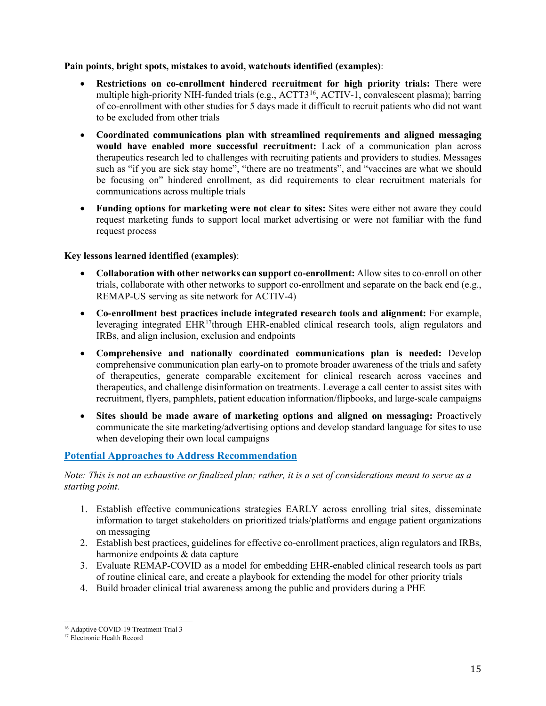## **Pain points, bright spots, mistakes to avoid, watchouts identified (examples)**:

- **Restrictions on co-enrollment hindered recruitment for high priority trials:** There were multiple high-priority NIH-funded trials (e.g., ACTT3<sup>[16](#page-15-0)</sup>, ACTIV-1, convalescent plasma); barring of co-enrollment with other studies for 5 days made it difficult to recruit patients who did not want to be excluded from other trials
- **Coordinated communications plan with streamlined requirements and aligned messaging would have enabled more successful recruitment:** Lack of a communication plan across therapeutics research led to challenges with recruiting patients and providers to studies. Messages such as "if you are sick stay home", "there are no treatments", and "vaccines are what we should be focusing on" hindered enrollment, as did requirements to clear recruitment materials for communications across multiple trials
- **Funding options for marketing were not clear to sites:** Sites were either not aware they could request marketing funds to support local market advertising or were not familiar with the fund request process

## **Key lessons learned identified (examples)**:

- **Collaboration with other networks can support co-enrollment:** Allow sites to co-enroll on other trials, collaborate with other networks to support co-enrollment and separate on the back end (e.g., REMAP-US serving as site network for ACTIV-4)
- **Co-enrollment best practices include integrated research tools and alignment:** For example, leveraging integrated EHR<sup>[17](#page-15-1)</sup>through EHR-enabled clinical research tools, align regulators and IRBs, and align inclusion, exclusion and endpoints
- **Comprehensive and nationally coordinated communications plan is needed:** Develop comprehensive communication plan early-on to promote broader awareness of the trials and safety of therapeutics, generate comparable excitement for clinical research across vaccines and therapeutics, and challenge disinformation on treatments. Leverage a call center to assist sites with recruitment, flyers, pamphlets, patient education information/flipbooks, and large-scale campaigns
- **Sites should be made aware of marketing options and aligned on messaging:** Proactively communicate the site marketing/advertising options and develop standard language for sites to use when developing their own local campaigns

## **Potential Approaches to Address Recommendation**

- 1. Establish effective communications strategies EARLY across enrolling trial sites, disseminate information to target stakeholders on prioritized trials/platforms and engage patient organizations on messaging
- 2. Establish best practices, guidelines for effective co-enrollment practices, align regulators and IRBs, harmonize endpoints & data capture
- 3. Evaluate REMAP-COVID as a model for embedding EHR-enabled clinical research tools as part of routine clinical care, and create a playbook for extending the model for other priority trials
- 4. Build broader clinical trial awareness among the public and providers during a PHE

<sup>&</sup>lt;sup>16</sup> Adaptive COVID-19 Treatment Trial 3

<span id="page-15-1"></span><span id="page-15-0"></span><sup>&</sup>lt;sup>17</sup> Electronic Health Record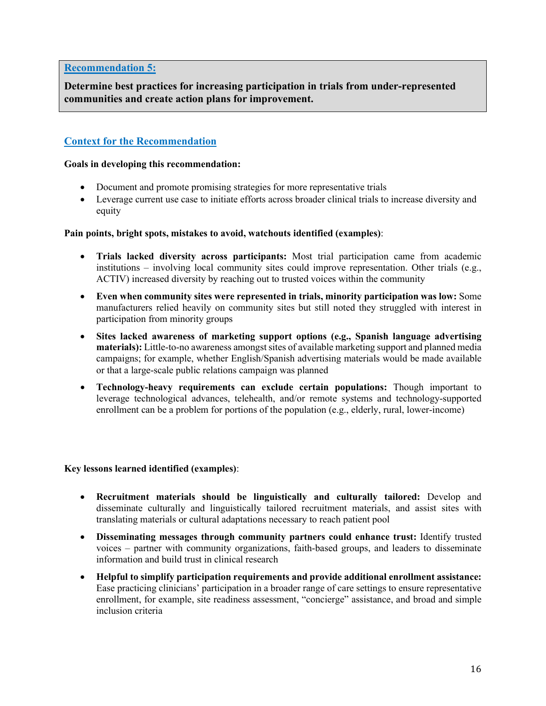## **Recommendation 5:**

**Determine best practices for increasing participation in trials from under-represented communities and create action plans for improvement.**

## **Context for the Recommendation**

#### **Goals in developing this recommendation:**

- Document and promote promising strategies for more representative trials
- Leverage current use case to initiate efforts across broader clinical trials to increase diversity and equity

## **Pain points, bright spots, mistakes to avoid, watchouts identified (examples)**:

- **Trials lacked diversity across participants:** Most trial participation came from academic institutions – involving local community sites could improve representation. Other trials (e.g., ACTIV) increased diversity by reaching out to trusted voices within the community
- **Even when community sites were represented in trials, minority participation was low:** Some manufacturers relied heavily on community sites but still noted they struggled with interest in participation from minority groups
- **Sites lacked awareness of marketing support options (e.g., Spanish language advertising materials):** Little-to-no awareness amongst sites of available marketing support and planned media campaigns; for example, whether English/Spanish advertising materials would be made available or that a large-scale public relations campaign was planned
- **Technology-heavy requirements can exclude certain populations:** Though important to leverage technological advances, telehealth, and/or remote systems and technology-supported enrollment can be a problem for portions of the population (e.g., elderly, rural, lower-income)

## **Key lessons learned identified (examples)**:

- **Recruitment materials should be linguistically and culturally tailored:** Develop and disseminate culturally and linguistically tailored recruitment materials, and assist sites with translating materials or cultural adaptations necessary to reach patient pool
- **Disseminating messages through community partners could enhance trust:** Identify trusted voices – partner with community organizations, faith-based groups, and leaders to disseminate information and build trust in clinical research
- **Helpful to simplify participation requirements and provide additional enrollment assistance:**  Ease practicing clinicians' participation in a broader range of care settings to ensure representative enrollment, for example, site readiness assessment, "concierge" assistance, and broad and simple inclusion criteria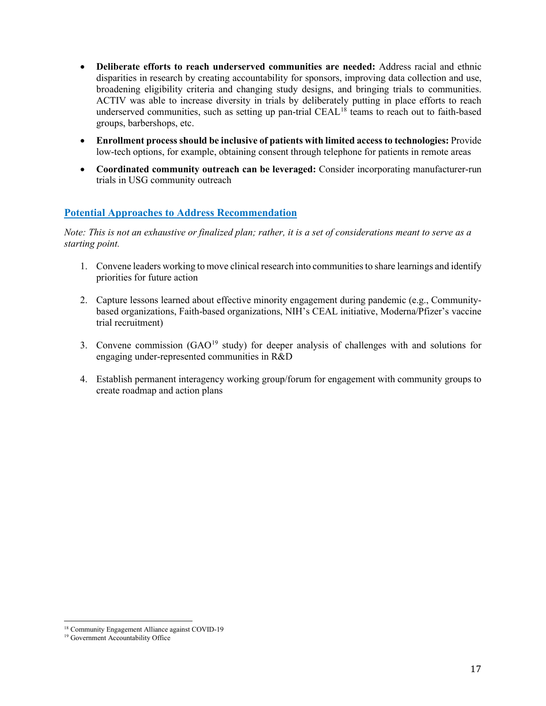- **Deliberate efforts to reach underserved communities are needed:** Address racial and ethnic disparities in research by creating accountability for sponsors, improving data collection and use, broadening eligibility criteria and changing study designs, and bringing trials to communities. ACTIV was able to increase diversity in trials by deliberately putting in place efforts to reach underserved communities, such as setting up pan-trial  $CEAL^{18}$  $CEAL^{18}$  $CEAL^{18}$  teams to reach out to faith-based groups, barbershops, etc.
- **Enrollment process should be inclusive of patients with limited access to technologies:** Provide low-tech options, for example, obtaining consent through telephone for patients in remote areas
- **Coordinated community outreach can be leveraged:** Consider incorporating manufacturer-run trials in USG community outreach

## **Potential Approaches to Address Recommendation**

- 1. Convene leaders working to move clinical research into communities to share learnings and identify priorities for future action
- 2. Capture lessons learned about effective minority engagement during pandemic (e.g., Communitybased organizations, Faith-based organizations, NIH's CEAL initiative, Moderna/Pfizer's vaccine trial recruitment)
- 3. Convene commission (GAO[19](#page-17-1) study) for deeper analysis of challenges with and solutions for engaging under-represented communities in R&D
- 4. Establish permanent interagency working group/forum for engagement with community groups to create roadmap and action plans

<sup>&</sup>lt;sup>18</sup> Community Engagement Alliance against COVID-19

<span id="page-17-1"></span><span id="page-17-0"></span><sup>&</sup>lt;sup>19</sup> Government Accountability Office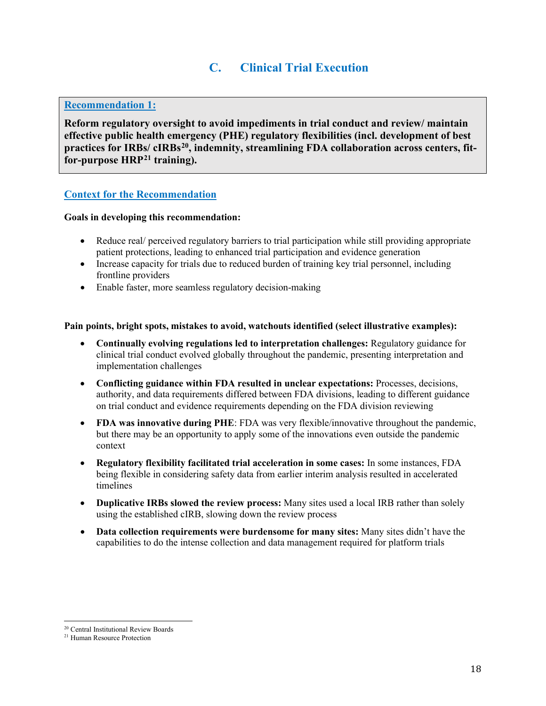# **C. Clinical Trial Execution**

## <span id="page-18-0"></span>**Recommendation 1:**

**Reform regulatory oversight to avoid impediments in trial conduct and review/ maintain effective public health emergency (PHE) regulatory flexibilities (incl. development of best practices for IRBs/ cIRBs[20,](#page-18-1) indemnity, streamlining FDA collaboration across centers, fitfor-purpose HRP[21](#page-18-2) training).**

## **Context for the Recommendation**

#### **Goals in developing this recommendation:**

- Reduce real/ perceived regulatory barriers to trial participation while still providing appropriate patient protections, leading to enhanced trial participation and evidence generation
- Increase capacity for trials due to reduced burden of training key trial personnel, including frontline providers
- Enable faster, more seamless regulatory decision-making

#### **Pain points, bright spots, mistakes to avoid, watchouts identified (select illustrative examples):**

- **Continually evolving regulations led to interpretation challenges:** Regulatory guidance for clinical trial conduct evolved globally throughout the pandemic, presenting interpretation and implementation challenges
- **Conflicting guidance within FDA resulted in unclear expectations:** Processes, decisions, authority, and data requirements differed between FDA divisions, leading to different guidance on trial conduct and evidence requirements depending on the FDA division reviewing
- **FDA was innovative during PHE**: FDA was very flexible/innovative throughout the pandemic, but there may be an opportunity to apply some of the innovations even outside the pandemic context
- **Regulatory flexibility facilitated trial acceleration in some cases:** In some instances, FDA being flexible in considering safety data from earlier interim analysis resulted in accelerated timelines
- **Duplicative IRBs slowed the review process:** Many sites used a local IRB rather than solely using the established cIRB, slowing down the review process
- **Data collection requirements were burdensome for many sites:** Many sites didn't have the capabilities to do the intense collection and data management required for platform trials

<span id="page-18-2"></span><span id="page-18-1"></span><sup>20</sup> Central Institutional Review Boards 21 Human Resource Protection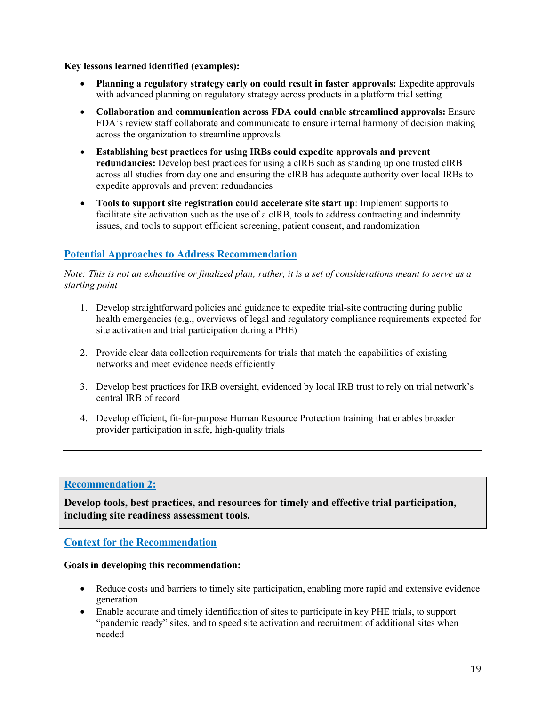**Key lessons learned identified (examples):**

- **Planning a regulatory strategy early on could result in faster approvals:** Expedite approvals with advanced planning on regulatory strategy across products in a platform trial setting
- **Collaboration and communication across FDA could enable streamlined approvals:** Ensure FDA's review staff collaborate and communicate to ensure internal harmony of decision making across the organization to streamline approvals
- **Establishing best practices for using IRBs could expedite approvals and prevent redundancies:** Develop best practices for using a cIRB such as standing up one trusted cIRB across all studies from day one and ensuring the cIRB has adequate authority over local IRBs to expedite approvals and prevent redundancies
- **Tools to support site registration could accelerate site start up**: Implement supports to facilitate site activation such as the use of a cIRB, tools to address contracting and indemnity issues, and tools to support efficient screening, patient consent, and randomization

## **Potential Approaches to Address Recommendation**

*Note: This is not an exhaustive or finalized plan; rather, it is a set of considerations meant to serve as a starting point*

- 1. Develop straightforward policies and guidance to expedite trial-site contracting during public health emergencies (e.g., overviews of legal and regulatory compliance requirements expected for site activation and trial participation during a PHE)
- 2. Provide clear data collection requirements for trials that match the capabilities of existing networks and meet evidence needs efficiently
- 3. Develop best practices for IRB oversight, evidenced by local IRB trust to rely on trial network's central IRB of record
- 4. Develop efficient, fit-for-purpose Human Resource Protection training that enables broader provider participation in safe, high-quality trials

## **Recommendation 2:**

**Develop tools, best practices, and resources for timely and effective trial participation, including site readiness assessment tools.**

## **Context for the Recommendation**

#### **Goals in developing this recommendation:**

- Reduce costs and barriers to timely site participation, enabling more rapid and extensive evidence generation
- Enable accurate and timely identification of sites to participate in key PHE trials, to support "pandemic ready" sites, and to speed site activation and recruitment of additional sites when needed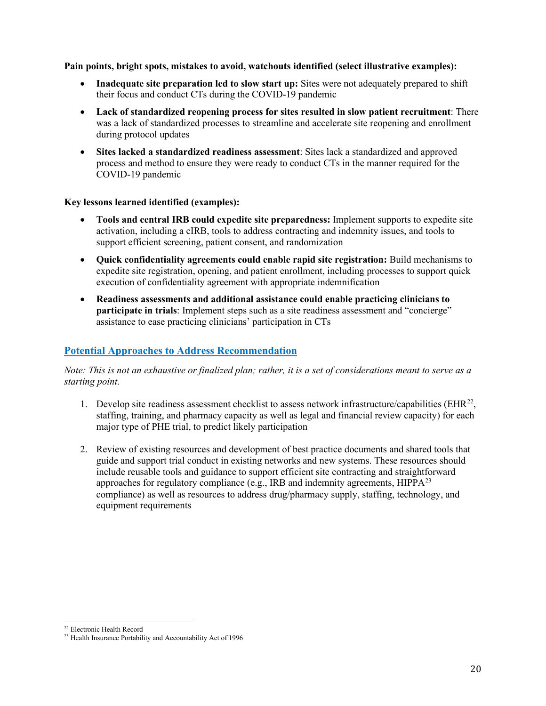**Pain points, bright spots, mistakes to avoid, watchouts identified (select illustrative examples):**

- **Inadequate site preparation led to slow start up:** Sites were not adequately prepared to shift their focus and conduct CTs during the COVID-19 pandemic
- **Lack of standardized reopening process for sites resulted in slow patient recruitment**: There was a lack of standardized processes to streamline and accelerate site reopening and enrollment during protocol updates
- **Sites lacked a standardized readiness assessment**: Sites lack a standardized and approved process and method to ensure they were ready to conduct CTs in the manner required for the COVID-19 pandemic

#### **Key lessons learned identified (examples):**

- **Tools and central IRB could expedite site preparedness:** Implement supports to expedite site activation, including a cIRB, tools to address contracting and indemnity issues, and tools to support efficient screening, patient consent, and randomization
- **Quick confidentiality agreements could enable rapid site registration:** Build mechanisms to expedite site registration, opening, and patient enrollment, including processes to support quick execution of confidentiality agreement with appropriate indemnification
- **Readiness assessments and additional assistance could enable practicing clinicians to participate in trials**: Implement steps such as a site readiness assessment and "concierge" assistance to ease practicing clinicians' participation in CTs

## **Potential Approaches to Address Recommendation**

- 1. Develop site readiness assessment checklist to assess network infrastructure/capabilities ( $EHR^{22}$  $EHR^{22}$  $EHR^{22}$ , staffing, training, and pharmacy capacity as well as legal and financial review capacity) for each major type of PHE trial, to predict likely participation
- 2. Review of existing resources and development of best practice documents and shared tools that guide and support trial conduct in existing networks and new systems. These resources should include reusable tools and guidance to support efficient site contracting and straightforward approaches for regulatory compliance (e.g., IRB and indemnity agreements,  $HIPPA<sup>23</sup>$  $HIPPA<sup>23</sup>$  $HIPPA<sup>23</sup>$ compliance) as well as resources to address drug/pharmacy supply, staffing, technology, and equipment requirements

<span id="page-20-0"></span><sup>22</sup> Electronic Health Record

<span id="page-20-1"></span><sup>23</sup> Health Insurance Portability and Accountability Act of 1996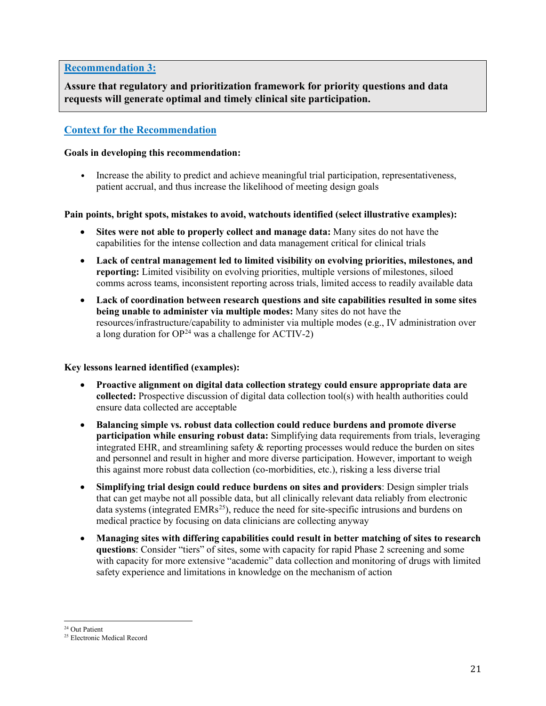## **Recommendation 3:**

**Assure that regulatory and prioritization framework for priority questions and data requests will generate optimal and timely clinical site participation.**

## **Context for the Recommendation**

#### **Goals in developing this recommendation:**

• Increase the ability to predict and achieve meaningful trial participation, representativeness, patient accrual, and thus increase the likelihood of meeting design goals

#### **Pain points, bright spots, mistakes to avoid, watchouts identified (select illustrative examples):**

- **Sites were not able to properly collect and manage data:** Many sites do not have the capabilities for the intense collection and data management critical for clinical trials
- **Lack of central management led to limited visibility on evolving priorities, milestones, and reporting:** Limited visibility on evolving priorities, multiple versions of milestones, siloed comms across teams, inconsistent reporting across trials, limited access to readily available data
- **Lack of coordination between research questions and site capabilities resulted in some sites being unable to administer via multiple modes:** Many sites do not have the resources/infrastructure/capability to administer via multiple modes (e.g., IV administration over a long duration for  $OP<sup>24</sup>$  was a challenge for ACTIV-2)

#### **Key lessons learned identified (examples):**

- **Proactive alignment on digital data collection strategy could ensure appropriate data are collected:** Prospective discussion of digital data collection tool(s) with health authorities could ensure data collected are acceptable
- **Balancing simple vs. robust data collection could reduce burdens and promote diverse participation while ensuring robust data:** Simplifying data requirements from trials, leveraging integrated EHR, and streamlining safety & reporting processes would reduce the burden on sites and personnel and result in higher and more diverse participation. However, important to weigh this against more robust data collection (co-morbidities, etc.), risking a less diverse trial
- **Simplifying trial design could reduce burdens on sites and providers**: Design simpler trials that can get maybe not all possible data, but all clinically relevant data reliably from electronic data systems (integrated  $EMRs<sup>25</sup>$ ), reduce the need for site-specific intrusions and burdens on medical practice by focusing on data clinicians are collecting anyway
- **Managing sites with differing capabilities could result in better matching of sites to research questions**: Consider "tiers" of sites, some with capacity for rapid Phase 2 screening and some with capacity for more extensive "academic" data collection and monitoring of drugs with limited safety experience and limitations in knowledge on the mechanism of action

<span id="page-21-1"></span><span id="page-21-0"></span><sup>&</sup>lt;sup>24</sup> Out Patient<br><sup>25</sup> Electronic Medical Record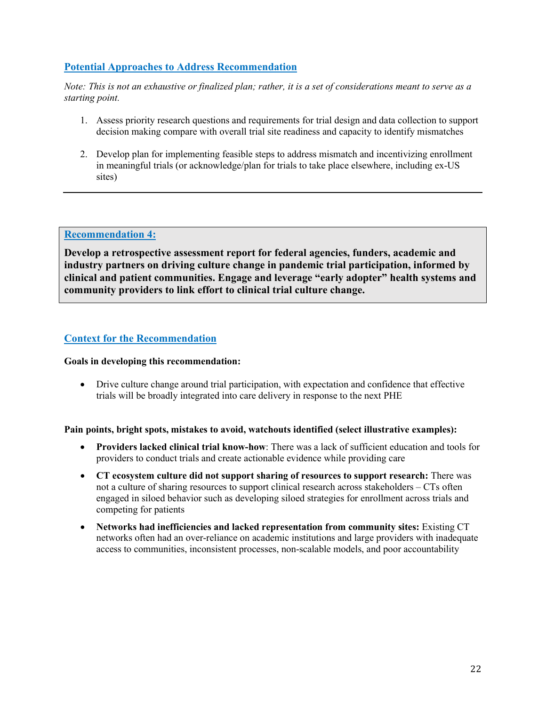## **Potential Approaches to Address Recommendation**

*Note: This is not an exhaustive or finalized plan; rather, it is a set of considerations meant to serve as a starting point.*

- 1. Assess priority research questions and requirements for trial design and data collection to support decision making compare with overall trial site readiness and capacity to identify mismatches
- 2. Develop plan for implementing feasible steps to address mismatch and incentivizing enrollment in meaningful trials (or acknowledge/plan for trials to take place elsewhere, including ex-US sites)

## **Recommendation 4:**

**Develop a retrospective assessment report for federal agencies, funders, academic and industry partners on driving culture change in pandemic trial participation, informed by clinical and patient communities. Engage and leverage "early adopter" health systems and community providers to link effort to clinical trial culture change.**

## **Context for the Recommendation**

#### **Goals in developing this recommendation:**

• Drive culture change around trial participation, with expectation and confidence that effective trials will be broadly integrated into care delivery in response to the next PHE

#### **Pain points, bright spots, mistakes to avoid, watchouts identified (select illustrative examples):**

- **Providers lacked clinical trial know-how**: There was a lack of sufficient education and tools for providers to conduct trials and create actionable evidence while providing care
- **CT ecosystem culture did not support sharing of resources to support research:** There was not a culture of sharing resources to support clinical research across stakeholders – CTs often engaged in siloed behavior such as developing siloed strategies for enrollment across trials and competing for patients
- **Networks had inefficiencies and lacked representation from community sites:** Existing CT networks often had an over-reliance on academic institutions and large providers with inadequate access to communities, inconsistent processes, non-scalable models, and poor accountability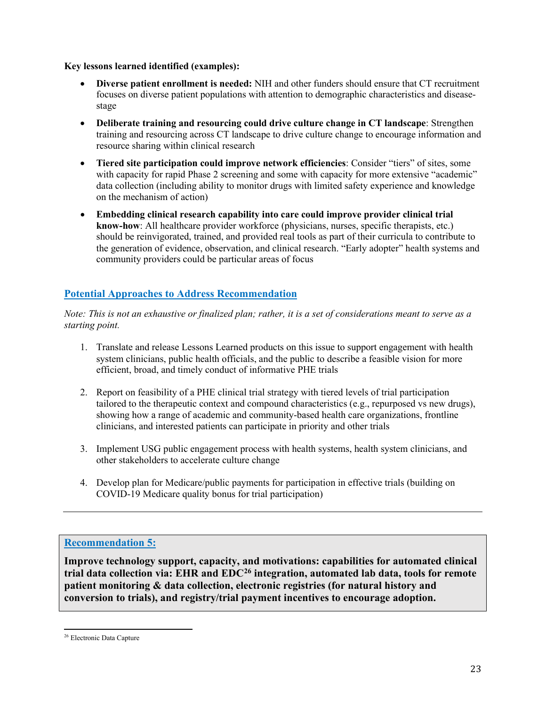## **Key lessons learned identified (examples):**

- **Diverse patient enrollment is needed:** NIH and other funders should ensure that CT recruitment focuses on diverse patient populations with attention to demographic characteristics and diseasestage
- **Deliberate training and resourcing could drive culture change in CT landscape**: Strengthen training and resourcing across CT landscape to drive culture change to encourage information and resource sharing within clinical research
- **Tiered site participation could improve network efficiencies**: Consider "tiers" of sites, some with capacity for rapid Phase 2 screening and some with capacity for more extensive "academic" data collection (including ability to monitor drugs with limited safety experience and knowledge on the mechanism of action)
- **Embedding clinical research capability into care could improve provider clinical trial know-how**: All healthcare provider workforce (physicians, nurses, specific therapists, etc.) should be reinvigorated, trained, and provided real tools as part of their curricula to contribute to the generation of evidence, observation, and clinical research. "Early adopter" health systems and community providers could be particular areas of focus

## **Potential Approaches to Address Recommendation**

*Note: This is not an exhaustive or finalized plan; rather, it is a set of considerations meant to serve as a starting point.*

- 1. Translate and release Lessons Learned products on this issue to support engagement with health system clinicians, public health officials, and the public to describe a feasible vision for more efficient, broad, and timely conduct of informative PHE trials
- 2. Report on feasibility of a PHE clinical trial strategy with tiered levels of trial participation tailored to the therapeutic context and compound characteristics (e.g., repurposed vs new drugs), showing how a range of academic and community-based health care organizations, frontline clinicians, and interested patients can participate in priority and other trials
- 3. Implement USG public engagement process with health systems, health system clinicians, and other stakeholders to accelerate culture change
- 4. Develop plan for Medicare/public payments for participation in effective trials (building on COVID-19 Medicare quality bonus for trial participation)

## **Recommendation 5:**

**Improve technology support, capacity, and motivations: capabilities for automated clinical trial data collection via: EHR and EDC[26](#page-23-0) integration, automated lab data, tools for remote patient monitoring & data collection, electronic registries (for natural history and conversion to trials), and registry/trial payment incentives to encourage adoption.**

<span id="page-23-0"></span><sup>26</sup> Electronic Data Capture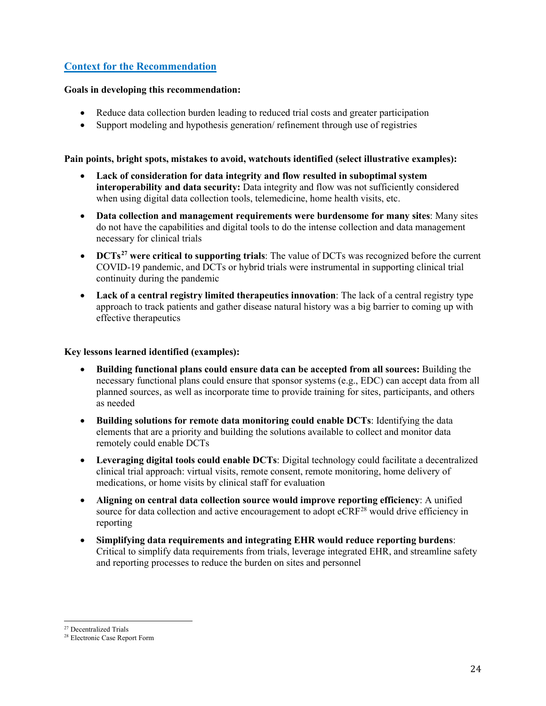## **Context for the Recommendation**

#### **Goals in developing this recommendation:**

- Reduce data collection burden leading to reduced trial costs and greater participation
- Support modeling and hypothesis generation/ refinement through use of registries

#### **Pain points, bright spots, mistakes to avoid, watchouts identified (select illustrative examples):**

- **Lack of consideration for data integrity and flow resulted in suboptimal system interoperability and data security:** Data integrity and flow was not sufficiently considered when using digital data collection tools, telemedicine, home health visits, etc.
- **Data collection and management requirements were burdensome for many sites**: Many sites do not have the capabilities and digital tools to do the intense collection and data management necessary for clinical trials
- **DCTs[27](#page-24-0) were critical to supporting trials**: The value of DCTs was recognized before the current COVID-19 pandemic, and DCTs or hybrid trials were instrumental in supporting clinical trial continuity during the pandemic
- **Lack of a central registry limited therapeutics innovation**: The lack of a central registry type approach to track patients and gather disease natural history was a big barrier to coming up with effective therapeutics

#### **Key lessons learned identified (examples):**

- **Building functional plans could ensure data can be accepted from all sources:** Building the necessary functional plans could ensure that sponsor systems (e.g., EDC) can accept data from all planned sources, as well as incorporate time to provide training for sites, participants, and others as needed
- **Building solutions for remote data monitoring could enable DCTs**: Identifying the data elements that are a priority and building the solutions available to collect and monitor data remotely could enable DCTs
- **Leveraging digital tools could enable DCTs**: Digital technology could facilitate a decentralized clinical trial approach: virtual visits, remote consent, remote monitoring, home delivery of medications, or home visits by clinical staff for evaluation
- **Aligning on central data collection source would improve reporting efficiency**: A unified source for data collection and active encouragement to adopt  $eCRF^{28}$  $eCRF^{28}$  $eCRF^{28}$  would drive efficiency in reporting
- **Simplifying data requirements and integrating EHR would reduce reporting burdens**: Critical to simplify data requirements from trials, leverage integrated EHR, and streamline safety and reporting processes to reduce the burden on sites and personnel

<span id="page-24-0"></span><sup>27</sup> Decentralized Trials

<span id="page-24-1"></span><sup>28</sup> Electronic Case Report Form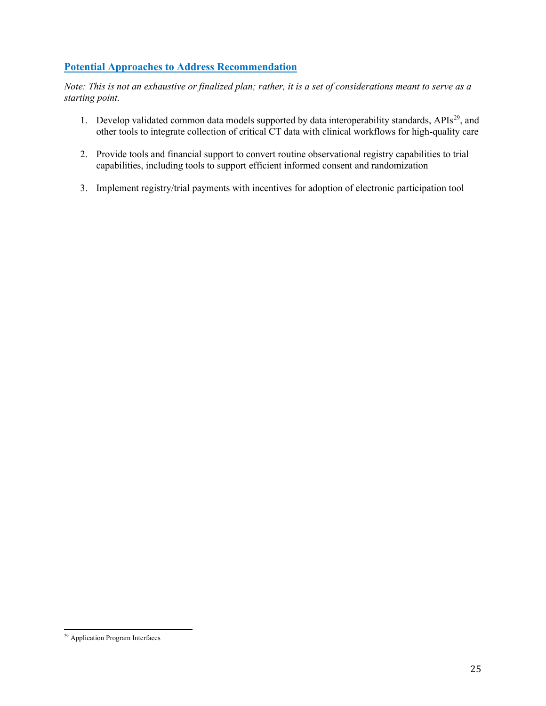## **Potential Approaches to Address Recommendation**

- 1. Develop validated common data models supported by data interoperability standards, APIs<sup>[29](#page-25-0)</sup>, and other tools to integrate collection of critical CT data with clinical workflows for high-quality care
- 2. Provide tools and financial support to convert routine observational registry capabilities to trial capabilities, including tools to support efficient informed consent and randomization
- 3. Implement registry/trial payments with incentives for adoption of electronic participation tool

<span id="page-25-0"></span><sup>29</sup> Application Program Interfaces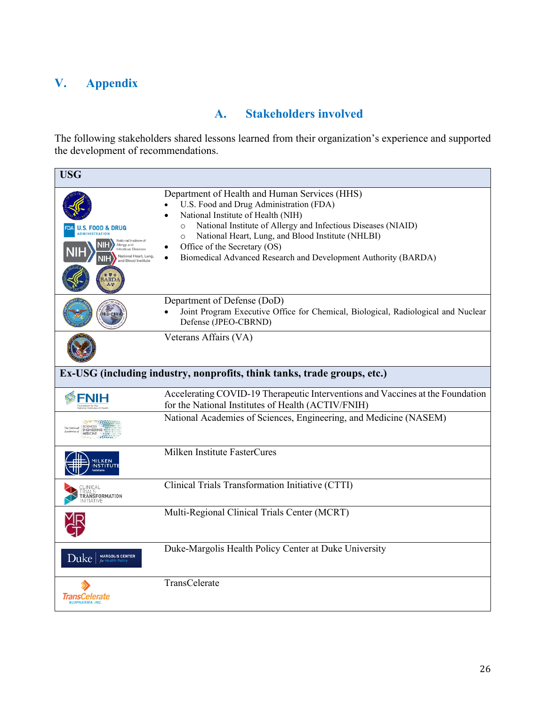# <span id="page-26-0"></span>**V. Appendix**

# **A. Stakeholders involved**

<span id="page-26-1"></span>The following stakeholders shared lessons learned from their organization's experience and supported the development of recommendations.

| <b>USG</b>                                                                                                                                                        |                                                                                                                                                                                                                                                                                                                                                                               |  |  |  |
|-------------------------------------------------------------------------------------------------------------------------------------------------------------------|-------------------------------------------------------------------------------------------------------------------------------------------------------------------------------------------------------------------------------------------------------------------------------------------------------------------------------------------------------------------------------|--|--|--|
| <b>S. FOOD &amp; DRUG</b><br><b>MINISTRATION</b><br>National Institute of<br>NIH<br>Allergy and<br>Infectious Dis<br>National Heart, Lung.<br>and Blood Institute | Department of Health and Human Services (HHS)<br>U.S. Food and Drug Administration (FDA)<br>National Institute of Health (NIH)<br>National Institute of Allergy and Infectious Diseases (NIAID)<br>$\circ$<br>National Heart, Lung, and Blood Institute (NHLBI)<br>$\Omega$<br>Office of the Secretary (OS)<br>Biomedical Advanced Research and Development Authority (BARDA) |  |  |  |
|                                                                                                                                                                   | Department of Defense (DoD)<br>Joint Program Executive Office for Chemical, Biological, Radiological and Nuclear<br>Defense (JPEO-CBRND)                                                                                                                                                                                                                                      |  |  |  |
|                                                                                                                                                                   | Veterans Affairs (VA)                                                                                                                                                                                                                                                                                                                                                         |  |  |  |
| Ex-USG (including industry, nonprofits, think tanks, trade groups, etc.)                                                                                          |                                                                                                                                                                                                                                                                                                                                                                               |  |  |  |
|                                                                                                                                                                   | Accelerating COVID-19 Therapeutic Interventions and Vaccines at the Foundation<br>for the National Institutes of Health (ACTIV/FNIH)                                                                                                                                                                                                                                          |  |  |  |
| <b>SCIENCES</b><br><b>ENGINEERING</b><br><b>MEDICINE</b>                                                                                                          | National Academies of Sciences, Engineering, and Medicine (NASEM)                                                                                                                                                                                                                                                                                                             |  |  |  |
| MILKEN<br><b>INSTITUTE</b>                                                                                                                                        | Milken Institute FasterCures                                                                                                                                                                                                                                                                                                                                                  |  |  |  |
| TRANSFORMATION<br>NITIATIVF                                                                                                                                       | Clinical Trials Transformation Initiative (CTTI)                                                                                                                                                                                                                                                                                                                              |  |  |  |
|                                                                                                                                                                   | Multi-Regional Clinical Trials Center (MCRT)                                                                                                                                                                                                                                                                                                                                  |  |  |  |
| <b>MARGOLIS CENTER</b><br>Duke                                                                                                                                    | Duke-Margolis Health Policy Center at Duke University                                                                                                                                                                                                                                                                                                                         |  |  |  |
| IransCelerate<br><b>BIOPHARMA INC.</b>                                                                                                                            | TransCelerate                                                                                                                                                                                                                                                                                                                                                                 |  |  |  |